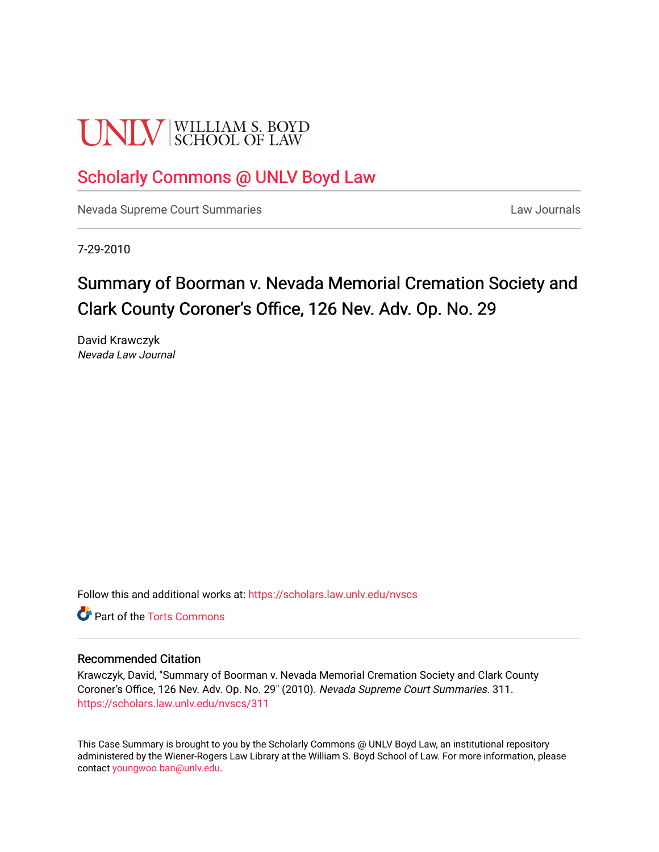# **UNLV** SCHOOL OF LAW

# [Scholarly Commons @ UNLV Boyd Law](https://scholars.law.unlv.edu/)

[Nevada Supreme Court Summaries](https://scholars.law.unlv.edu/nvscs) **Law Journals** Law Journals

7-29-2010

# Summary of Boorman v. Nevada Memorial Cremation Society and Clark County Coroner's Office, 126 Nev. Adv. Op. No. 29

David Krawczyk Nevada Law Journal

Follow this and additional works at: [https://scholars.law.unlv.edu/nvscs](https://scholars.law.unlv.edu/nvscs?utm_source=scholars.law.unlv.edu%2Fnvscs%2F311&utm_medium=PDF&utm_campaign=PDFCoverPages)

**C** Part of the [Torts Commons](http://network.bepress.com/hgg/discipline/913?utm_source=scholars.law.unlv.edu%2Fnvscs%2F311&utm_medium=PDF&utm_campaign=PDFCoverPages)

#### Recommended Citation

Krawczyk, David, "Summary of Boorman v. Nevada Memorial Cremation Society and Clark County Coroner's Office, 126 Nev. Adv. Op. No. 29" (2010). Nevada Supreme Court Summaries. 311. [https://scholars.law.unlv.edu/nvscs/311](https://scholars.law.unlv.edu/nvscs/311?utm_source=scholars.law.unlv.edu%2Fnvscs%2F311&utm_medium=PDF&utm_campaign=PDFCoverPages)

This Case Summary is brought to you by the Scholarly Commons @ UNLV Boyd Law, an institutional repository administered by the Wiener-Rogers Law Library at the William S. Boyd School of Law. For more information, please contact [youngwoo.ban@unlv.edu](mailto:youngwoo.ban@unlv.edu).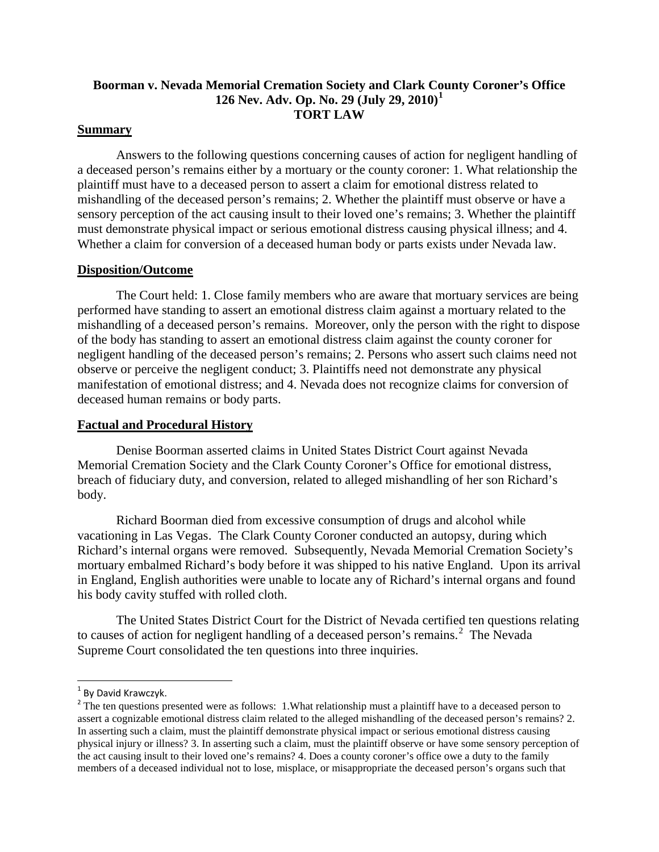# **Boorman v. Nevada Memorial Cremation Society and Clark County Coroner's Office 126 Nev. Adv. Op. No. 29 (July 29, 2010)[1](#page-1-0) TORT LAW**

#### **Summary**

Answers to the following questions concerning causes of action for negligent handling of a deceased person's remains either by a mortuary or the county coroner: 1. What relationship the plaintiff must have to a deceased person to assert a claim for emotional distress related to mishandling of the deceased person's remains; 2. Whether the plaintiff must observe or have a sensory perception of the act causing insult to their loved one's remains; 3. Whether the plaintiff must demonstrate physical impact or serious emotional distress causing physical illness; and 4. Whether a claim for conversion of a deceased human body or parts exists under Nevada law.

#### **Disposition/Outcome**

The Court held: 1. Close family members who are aware that mortuary services are being performed have standing to assert an emotional distress claim against a mortuary related to the mishandling of a deceased person's remains. Moreover, only the person with the right to dispose of the body has standing to assert an emotional distress claim against the county coroner for negligent handling of the deceased person's remains; 2. Persons who assert such claims need not observe or perceive the negligent conduct; 3. Plaintiffs need not demonstrate any physical manifestation of emotional distress; and 4. Nevada does not recognize claims for conversion of deceased human remains or body parts.

#### **Factual and Procedural History**

Denise Boorman asserted claims in United States District Court against Nevada Memorial Cremation Society and the Clark County Coroner's Office for emotional distress, breach of fiduciary duty, and conversion, related to alleged mishandling of her son Richard's body.

Richard Boorman died from excessive consumption of drugs and alcohol while vacationing in Las Vegas. The Clark County Coroner conducted an autopsy, during which Richard's internal organs were removed. Subsequently, Nevada Memorial Cremation Society's mortuary embalmed Richard's body before it was shipped to his native England. Upon its arrival in England, English authorities were unable to locate any of Richard's internal organs and found his body cavity stuffed with rolled cloth.

The United States District Court for the District of Nevada certified ten questions relating to causes of action for negligent handling of a deceased person's remains.<sup>[2](#page-1-1)</sup> The Nevada Supreme Court consolidated the ten questions into three inquiries.

<span id="page-1-0"></span> $1$  By David Krawczyk.

<span id="page-1-1"></span><sup>&</sup>lt;sup>2</sup> The ten questions presented were as follows: 1. What relationship must a plaintiff have to a deceased person to assert a cognizable emotional distress claim related to the alleged mishandling of the deceased person's remains? 2. In asserting such a claim, must the plaintiff demonstrate physical impact or serious emotional distress causing physical injury or illness? 3. In asserting such a claim, must the plaintiff observe or have some sensory perception of the act causing insult to their loved one's remains? 4. Does a county coroner's office owe a duty to the family members of a deceased individual not to lose, misplace, or misappropriate the deceased person's organs such that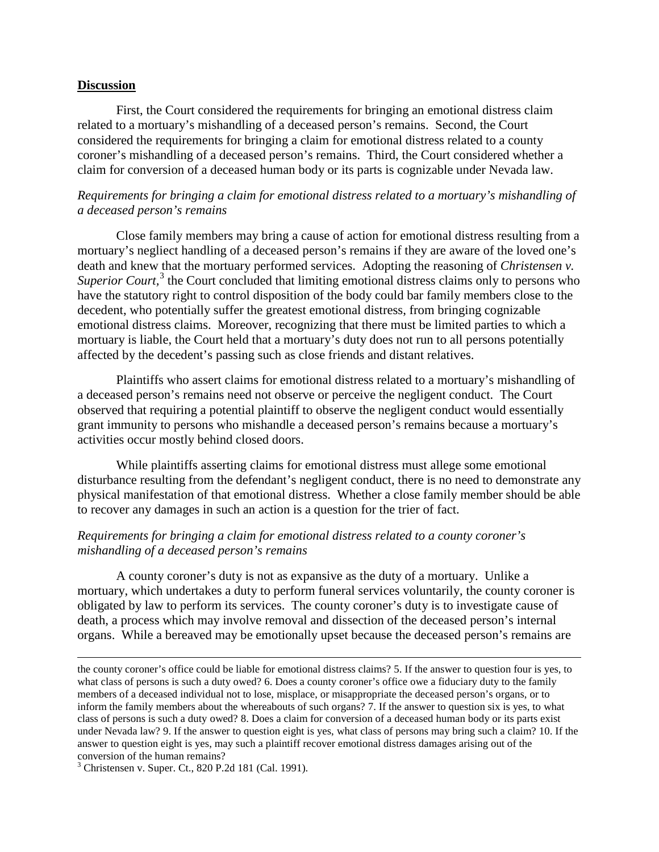#### **Discussion**

First, the Court considered the requirements for bringing an emotional distress claim related to a mortuary's mishandling of a deceased person's remains. Second, the Court considered the requirements for bringing a claim for emotional distress related to a county coroner's mishandling of a deceased person's remains. Third, the Court considered whether a claim for conversion of a deceased human body or its parts is cognizable under Nevada law.

## *Requirements for bringing a claim for emotional distress related to a mortuary's mishandling of a deceased person's remains*

Close family members may bring a cause of action for emotional distress resulting from a mortuary's negliect handling of a deceased person's remains if they are aware of the loved one's death and knew that the mortuary performed services. Adopting the reasoning of *Christensen v.*  Superior Court,<sup>[3](#page-2-0)</sup> the Court concluded that limiting emotional distress claims only to persons who have the statutory right to control disposition of the body could bar family members close to the decedent, who potentially suffer the greatest emotional distress, from bringing cognizable emotional distress claims. Moreover, recognizing that there must be limited parties to which a mortuary is liable, the Court held that a mortuary's duty does not run to all persons potentially affected by the decedent's passing such as close friends and distant relatives.

Plaintiffs who assert claims for emotional distress related to a mortuary's mishandling of a deceased person's remains need not observe or perceive the negligent conduct. The Court observed that requiring a potential plaintiff to observe the negligent conduct would essentially grant immunity to persons who mishandle a deceased person's remains because a mortuary's activities occur mostly behind closed doors.

While plaintiffs asserting claims for emotional distress must allege some emotional disturbance resulting from the defendant's negligent conduct, there is no need to demonstrate any physical manifestation of that emotional distress. Whether a close family member should be able to recover any damages in such an action is a question for the trier of fact.

## *Requirements for bringing a claim for emotional distress related to a county coroner's mishandling of a deceased person's remains*

A county coroner's duty is not as expansive as the duty of a mortuary. Unlike a mortuary, which undertakes a duty to perform funeral services voluntarily, the county coroner is obligated by law to perform its services. The county coroner's duty is to investigate cause of death, a process which may involve removal and dissection of the deceased person's internal organs. While a bereaved may be emotionally upset because the deceased person's remains are

<span id="page-2-0"></span> $3$  Christensen v. Super. Ct., 820 P.2d 181 (Cal. 1991).

 $\overline{\phantom{a}}$ 

the county coroner's office could be liable for emotional distress claims? 5. If the answer to question four is yes, to what class of persons is such a duty owed? 6. Does a county coroner's office owe a fiduciary duty to the family members of a deceased individual not to lose, misplace, or misappropriate the deceased person's organs, or to inform the family members about the whereabouts of such organs? 7. If the answer to question six is yes, to what class of persons is such a duty owed? 8. Does a claim for conversion of a deceased human body or its parts exist under Nevada law? 9. If the answer to question eight is yes, what class of persons may bring such a claim? 10. If the answer to question eight is yes, may such a plaintiff recover emotional distress damages arising out of the conversion of the human remains?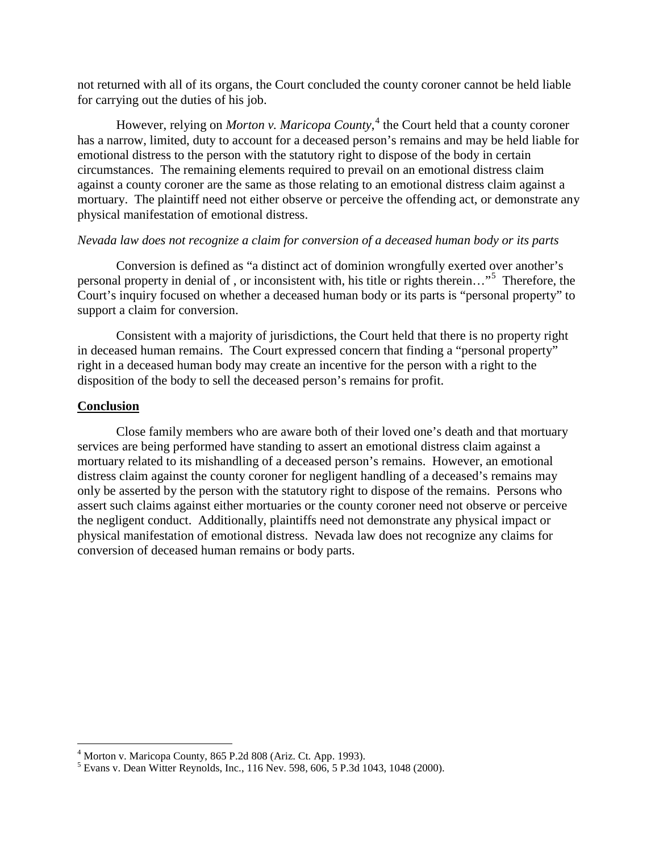not returned with all of its organs, the Court concluded the county coroner cannot be held liable for carrying out the duties of his job.

However, relying on *Morton v. Maricopa County*, [4](#page-3-0) the Court held that a county coroner has a narrow, limited, duty to account for a deceased person's remains and may be held liable for emotional distress to the person with the statutory right to dispose of the body in certain circumstances. The remaining elements required to prevail on an emotional distress claim against a county coroner are the same as those relating to an emotional distress claim against a mortuary. The plaintiff need not either observe or perceive the offending act, or demonstrate any physical manifestation of emotional distress.

#### *Nevada law does not recognize a claim for conversion of a deceased human body or its parts*

Conversion is defined as "a distinct act of dominion wrongfully exerted over another's personal property in denial of , or inconsistent with, his title or rights therein…"[5](#page-3-1) Therefore, the Court's inquiry focused on whether a deceased human body or its parts is "personal property" to support a claim for conversion.

Consistent with a majority of jurisdictions, the Court held that there is no property right in deceased human remains. The Court expressed concern that finding a "personal property" right in a deceased human body may create an incentive for the person with a right to the disposition of the body to sell the deceased person's remains for profit.

#### **Conclusion**

Close family members who are aware both of their loved one's death and that mortuary services are being performed have standing to assert an emotional distress claim against a mortuary related to its mishandling of a deceased person's remains. However, an emotional distress claim against the county coroner for negligent handling of a deceased's remains may only be asserted by the person with the statutory right to dispose of the remains. Persons who assert such claims against either mortuaries or the county coroner need not observe or perceive the negligent conduct. Additionally, plaintiffs need not demonstrate any physical impact or physical manifestation of emotional distress. Nevada law does not recognize any claims for conversion of deceased human remains or body parts.

<span id="page-3-0"></span> $4$  Morton v. Maricopa County, 865 P.2d 808 (Ariz. Ct. App. 1993).

<span id="page-3-1"></span><sup>5</sup> Evans v. Dean Witter Reynolds, Inc., 116 Nev. 598, 606, 5 P.3d 1043, 1048 (2000).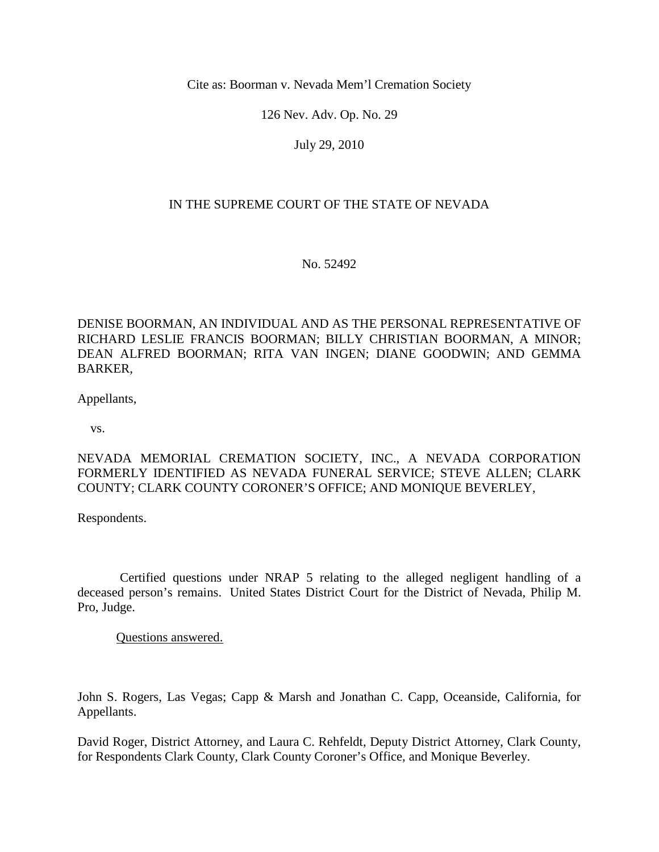Cite as: Boorman v. Nevada Mem'l Cremation Society

126 Nev. Adv. Op. No. 29

July 29, 2010

# IN THE SUPREME COURT OF THE STATE OF NEVADA

No. 52492

DENISE BOORMAN, AN INDIVIDUAL AND AS THE PERSONAL REPRESENTATIVE OF RICHARD LESLIE FRANCIS BOORMAN; BILLY CHRISTIAN BOORMAN, A MINOR; DEAN ALFRED BOORMAN; RITA VAN INGEN; DIANE GOODWIN; AND GEMMA BARKER,

Appellants,

vs.

NEVADA MEMORIAL CREMATION SOCIETY, INC., A NEVADA CORPORATION FORMERLY IDENTIFIED AS NEVADA FUNERAL SERVICE; STEVE ALLEN; CLARK COUNTY; CLARK COUNTY CORONER'S OFFICE; AND MONIQUE BEVERLEY,

Respondents.

 Certified questions under NRAP 5 relating to the alleged negligent handling of a deceased person's remains. United States District Court for the District of Nevada, Philip M. Pro, Judge.

Questions answered.

John S. Rogers, Las Vegas; Capp & Marsh and Jonathan C. Capp, Oceanside, California, for Appellants.

David Roger, District Attorney, and Laura C. Rehfeldt, Deputy District Attorney, Clark County, for Respondents Clark County, Clark County Coroner's Office, and Monique Beverley.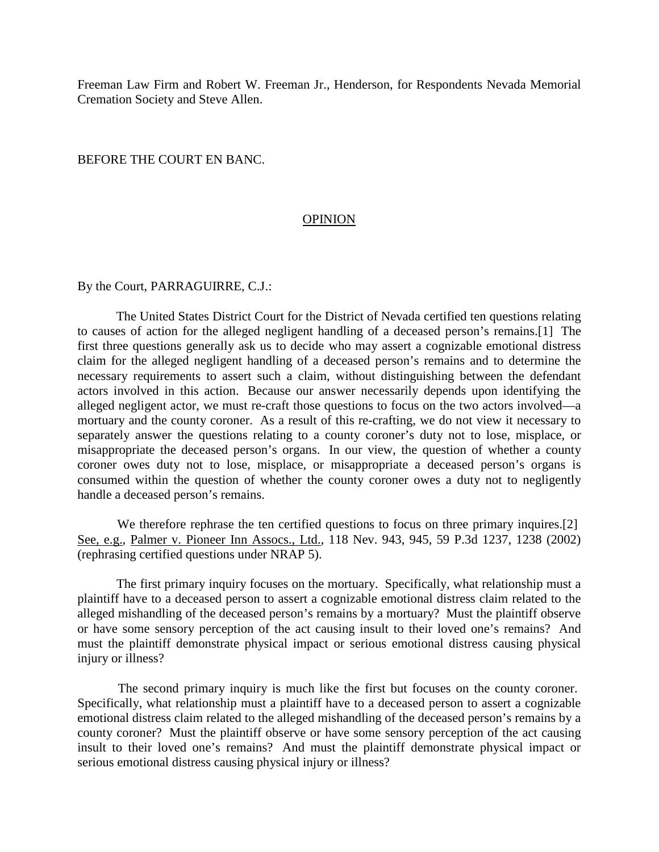Freeman Law Firm and Robert W. Freeman Jr., Henderson, for Respondents Nevada Memorial Cremation Society and Steve Allen.

#### BEFORE THE COURT EN BANC.

#### **OPINION**

#### By the Court, PARRAGUIRRE, C.J.:

 The United States District Court for the District of Nevada certified ten questions relating to causes of action for the alleged negligent handling of a deceased person's remains.[1] The first three questions generally ask us to decide who may assert a cognizable emotional distress claim for the alleged negligent handling of a deceased person's remains and to determine the necessary requirements to assert such a claim, without distinguishing between the defendant actors involved in this action. Because our answer necessarily depends upon identifying the alleged negligent actor, we must re-craft those questions to focus on the two actors involved—a mortuary and the county coroner. As a result of this re-crafting, we do not view it necessary to separately answer the questions relating to a county coroner's duty not to lose, misplace, or misappropriate the deceased person's organs. In our view, the question of whether a county coroner owes duty not to lose, misplace, or misappropriate a deceased person's organs is consumed within the question of whether the county coroner owes a duty not to negligently handle a deceased person's remains.

We therefore rephrase the ten certified questions to focus on three primary inquires.[2] See, e.g., Palmer v. Pioneer Inn Assocs., Ltd., 118 Nev. 943, 945, 59 P.3d 1237, 1238 (2002) (rephrasing certified questions under NRAP 5).

 The first primary inquiry focuses on the mortuary. Specifically, what relationship must a plaintiff have to a deceased person to assert a cognizable emotional distress claim related to the alleged mishandling of the deceased person's remains by a mortuary? Must the plaintiff observe or have some sensory perception of the act causing insult to their loved one's remains? And must the plaintiff demonstrate physical impact or serious emotional distress causing physical injury or illness?

 The second primary inquiry is much like the first but focuses on the county coroner. Specifically, what relationship must a plaintiff have to a deceased person to assert a cognizable emotional distress claim related to the alleged mishandling of the deceased person's remains by a county coroner? Must the plaintiff observe or have some sensory perception of the act causing insult to their loved one's remains? And must the plaintiff demonstrate physical impact or serious emotional distress causing physical injury or illness?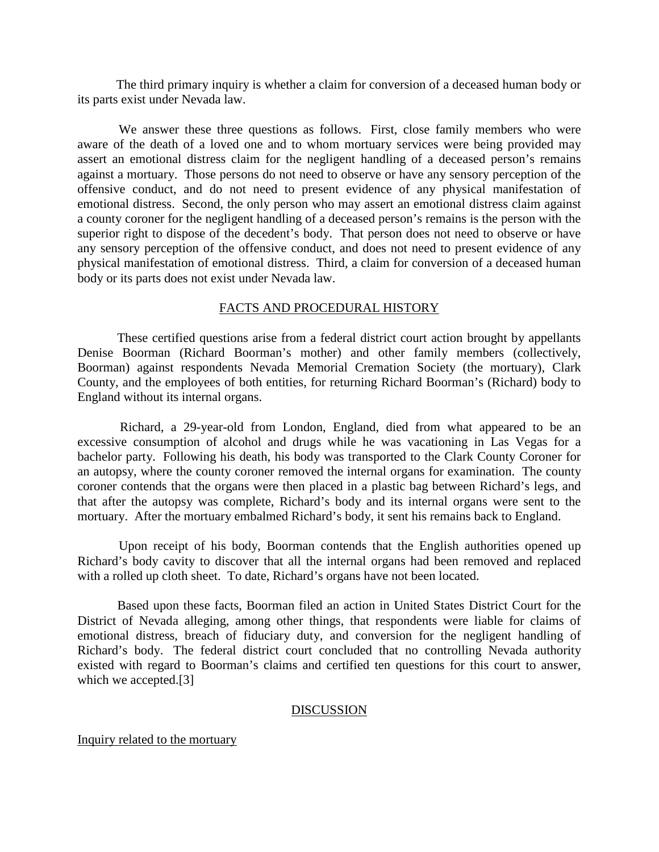The third primary inquiry is whether a claim for conversion of a deceased human body or its parts exist under Nevada law.

 We answer these three questions as follows. First, close family members who were aware of the death of a loved one and to whom mortuary services were being provided may assert an emotional distress claim for the negligent handling of a deceased person's remains against a mortuary. Those persons do not need to observe or have any sensory perception of the offensive conduct, and do not need to present evidence of any physical manifestation of emotional distress. Second, the only person who may assert an emotional distress claim against a county coroner for the negligent handling of a deceased person's remains is the person with the superior right to dispose of the decedent's body. That person does not need to observe or have any sensory perception of the offensive conduct, and does not need to present evidence of any physical manifestation of emotional distress. Third, a claim for conversion of a deceased human body or its parts does not exist under Nevada law.

#### FACTS AND PROCEDURAL HISTORY

 These certified questions arise from a federal district court action brought by appellants Denise Boorman (Richard Boorman's mother) and other family members (collectively, Boorman) against respondents Nevada Memorial Cremation Society (the mortuary), Clark County, and the employees of both entities, for returning Richard Boorman's (Richard) body to England without its internal organs.

 Richard, a 29-year-old from London, England, died from what appeared to be an excessive consumption of alcohol and drugs while he was vacationing in Las Vegas for a bachelor party. Following his death, his body was transported to the Clark County Coroner for an autopsy, where the county coroner removed the internal organs for examination. The county coroner contends that the organs were then placed in a plastic bag between Richard's legs, and that after the autopsy was complete, Richard's body and its internal organs were sent to the mortuary. After the mortuary embalmed Richard's body, it sent his remains back to England.

 Upon receipt of his body, Boorman contends that the English authorities opened up Richard's body cavity to discover that all the internal organs had been removed and replaced with a rolled up cloth sheet. To date, Richard's organs have not been located.

 Based upon these facts, Boorman filed an action in United States District Court for the District of Nevada alleging, among other things, that respondents were liable for claims of emotional distress, breach of fiduciary duty, and conversion for the negligent handling of Richard's body. The federal district court concluded that no controlling Nevada authority existed with regard to Boorman's claims and certified ten questions for this court to answer, which we accepted.[3]

#### **DISCUSSION**

Inquiry related to the mortuary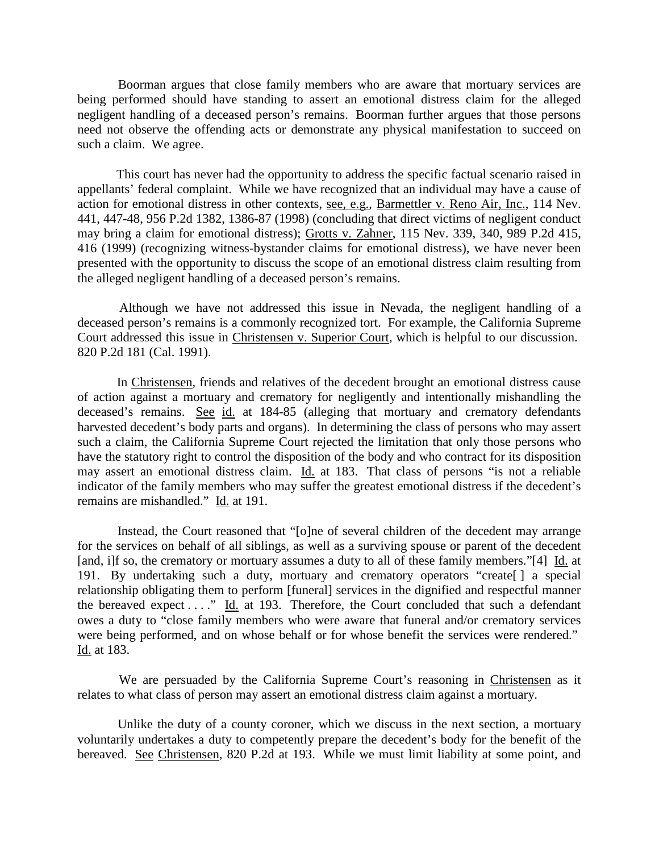Boorman argues that close family members who are aware that mortuary services are being performed should have standing to assert an emotional distress claim for the alleged negligent handling of a deceased person's remains. Boorman further argues that those persons need not observe the offending acts or demonstrate any physical manifestation to succeed on such a claim. We agree.

 This court has never had the opportunity to address the specific factual scenario raised in appellants' federal complaint. While we have recognized that an individual may have a cause of action for emotional distress in other contexts, see, e.g., Barmettler v. Reno Air, Inc., 114 Nev. 441, 447-48, 956 P.2d 1382, 1386-87 (1998) (concluding that direct victims of negligent conduct may bring a claim for emotional distress); Grotts v. Zahner, 115 Nev. 339, 340, 989 P.2d 415, 416 (1999) (recognizing witness-bystander claims for emotional distress), we have never been presented with the opportunity to discuss the scope of an emotional distress claim resulting from the alleged negligent handling of a deceased person's remains.

 Although we have not addressed this issue in Nevada, the negligent handling of a deceased person's remains is a commonly recognized tort. For example, the California Supreme Court addressed this issue in Christensen v. Superior Court, which is helpful to our discussion. 820 P.2d 181 (Cal. 1991).

 In Christensen, friends and relatives of the decedent brought an emotional distress cause of action against a mortuary and crematory for negligently and intentionally mishandling the deceased's remains. See id. at 184-85 (alleging that mortuary and crematory defendants harvested decedent's body parts and organs). In determining the class of persons who may assert such a claim, the California Supreme Court rejected the limitation that only those persons who have the statutory right to control the disposition of the body and who contract for its disposition may assert an emotional distress claim. Id. at 183. That class of persons "is not a reliable indicator of the family members who may suffer the greatest emotional distress if the decedent's remains are mishandled." Id. at 191.

 Instead, the Court reasoned that "[o]ne of several children of the decedent may arrange for the services on behalf of all siblings, as well as a surviving spouse or parent of the decedent [and, i]f so, the crematory or mortuary assumes a duty to all of these family members."[4] Id. at 191. By undertaking such a duty, mortuary and crematory operators "create[ ] a special relationship obligating them to perform [funeral] services in the dignified and respectful manner the bereaved expect  $\dots$ ." Id. at 193. Therefore, the Court concluded that such a defendant owes a duty to "close family members who were aware that funeral and/or crematory services were being performed, and on whose behalf or for whose benefit the services were rendered." Id. at 183.

 We are persuaded by the California Supreme Court's reasoning in Christensen as it relates to what class of person may assert an emotional distress claim against a mortuary.

 Unlike the duty of a county coroner, which we discuss in the next section, a mortuary voluntarily undertakes a duty to competently prepare the decedent's body for the benefit of the bereaved. See Christensen, 820 P.2d at 193. While we must limit liability at some point, and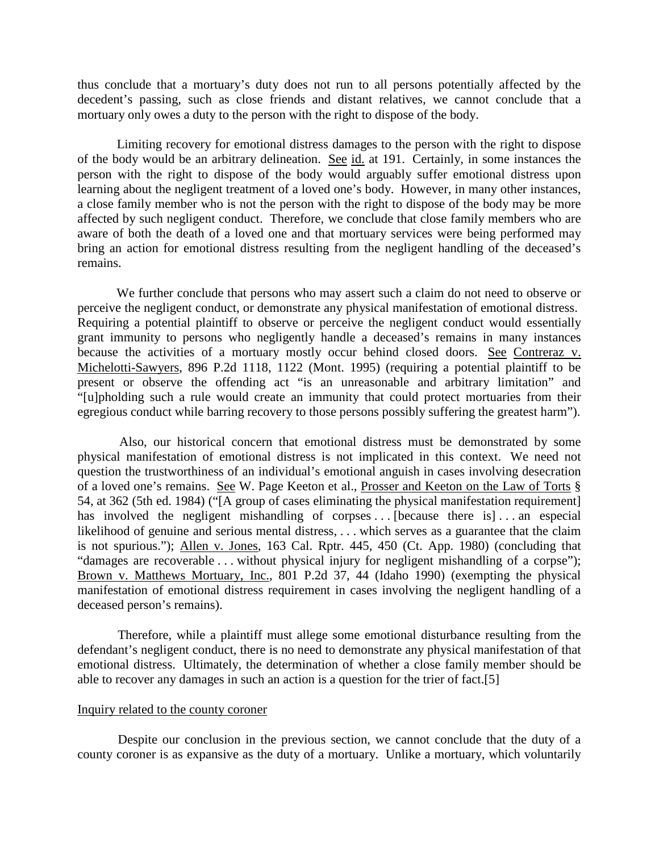thus conclude that a mortuary's duty does not run to all persons potentially affected by the decedent's passing, such as close friends and distant relatives, we cannot conclude that a mortuary only owes a duty to the person with the right to dispose of the body.

 Limiting recovery for emotional distress damages to the person with the right to dispose of the body would be an arbitrary delineation. See id. at 191. Certainly, in some instances the person with the right to dispose of the body would arguably suffer emotional distress upon learning about the negligent treatment of a loved one's body. However, in many other instances, a close family member who is not the person with the right to dispose of the body may be more affected by such negligent conduct. Therefore, we conclude that close family members who are aware of both the death of a loved one and that mortuary services were being performed may bring an action for emotional distress resulting from the negligent handling of the deceased's remains.

 We further conclude that persons who may assert such a claim do not need to observe or perceive the negligent conduct, or demonstrate any physical manifestation of emotional distress. Requiring a potential plaintiff to observe or perceive the negligent conduct would essentially grant immunity to persons who negligently handle a deceased's remains in many instances because the activities of a mortuary mostly occur behind closed doors. See Contreraz v. Michelotti-Sawyers, 896 P.2d 1118, 1122 (Mont. 1995) (requiring a potential plaintiff to be present or observe the offending act "is an unreasonable and arbitrary limitation" and "[u]pholding such a rule would create an immunity that could protect mortuaries from their egregious conduct while barring recovery to those persons possibly suffering the greatest harm").

 Also, our historical concern that emotional distress must be demonstrated by some physical manifestation of emotional distress is not implicated in this context. We need not question the trustworthiness of an individual's emotional anguish in cases involving desecration of a loved one's remains. See W. Page Keeton et al., Prosser and Keeton on the Law of Torts § 54, at 362 (5th ed. 1984) ("[A group of cases eliminating the physical manifestation requirement] has involved the negligent mishandling of corpses ... [because there is]... an especial likelihood of genuine and serious mental distress, ... which serves as a guarantee that the claim is not spurious."); Allen v. Jones, 163 Cal. Rptr. 445, 450 (Ct. App. 1980) (concluding that "damages are recoverable . . . without physical injury for negligent mishandling of a corpse"); Brown v. Matthews Mortuary, Inc., 801 P.2d 37, 44 (Idaho 1990) (exempting the physical manifestation of emotional distress requirement in cases involving the negligent handling of a deceased person's remains).

 Therefore, while a plaintiff must allege some emotional disturbance resulting from the defendant's negligent conduct, there is no need to demonstrate any physical manifestation of that emotional distress. Ultimately, the determination of whether a close family member should be able to recover any damages in such an action is a question for the trier of fact.[5]

#### Inquiry related to the county coroner

 Despite our conclusion in the previous section, we cannot conclude that the duty of a county coroner is as expansive as the duty of a mortuary. Unlike a mortuary, which voluntarily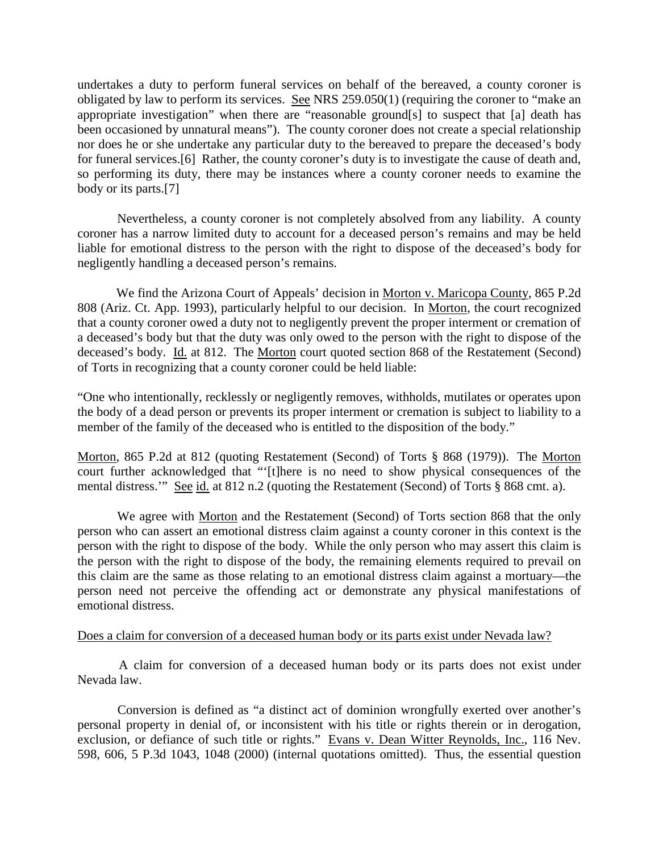undertakes a duty to perform funeral services on behalf of the bereaved, a county coroner is obligated by law to perform its services. See NRS  $259.050(1)$  (requiring the coroner to "make an appropriate investigation" when there are "reasonable ground[s] to suspect that [a] death has been occasioned by unnatural means"). The county coroner does not create a special relationship nor does he or she undertake any particular duty to the bereaved to prepare the deceased's body for funeral services.[6] Rather, the county coroner's duty is to investigate the cause of death and, so performing its duty, there may be instances where a county coroner needs to examine the body or its parts.[7]

 Nevertheless, a county coroner is not completely absolved from any liability. A county coroner has a narrow limited duty to account for a deceased person's remains and may be held liable for emotional distress to the person with the right to dispose of the deceased's body for negligently handling a deceased person's remains.

 We find the Arizona Court of Appeals' decision in Morton v. Maricopa County, 865 P.2d 808 (Ariz. Ct. App. 1993), particularly helpful to our decision. In Morton, the court recognized that a county coroner owed a duty not to negligently prevent the proper interment or cremation of a deceased's body but that the duty was only owed to the person with the right to dispose of the deceased's body. Id. at 812. The Morton court quoted section 868 of the Restatement (Second) of Torts in recognizing that a county coroner could be held liable:

"One who intentionally, recklessly or negligently removes, withholds, mutilates or operates upon the body of a dead person or prevents its proper interment or cremation is subject to liability to a member of the family of the deceased who is entitled to the disposition of the body."

Morton, 865 P.2d at 812 (quoting Restatement (Second) of Torts § 868 (1979)). The Morton court further acknowledged that "'[t]here is no need to show physical consequences of the mental distress.'" See id. at 812 n.2 (quoting the Restatement (Second) of Torts § 868 cmt. a).

 We agree with Morton and the Restatement (Second) of Torts section 868 that the only person who can assert an emotional distress claim against a county coroner in this context is the person with the right to dispose of the body. While the only person who may assert this claim is the person with the right to dispose of the body, the remaining elements required to prevail on this claim are the same as those relating to an emotional distress claim against a mortuary—the person need not perceive the offending act or demonstrate any physical manifestations of emotional distress.

#### Does a claim for conversion of a deceased human body or its parts exist under Nevada law?

 A claim for conversion of a deceased human body or its parts does not exist under Nevada law.

 Conversion is defined as "a distinct act of dominion wrongfully exerted over another's personal property in denial of, or inconsistent with his title or rights therein or in derogation, exclusion, or defiance of such title or rights." Evans v. Dean Witter Reynolds, Inc., 116 Nev. 598, 606, 5 P.3d 1043, 1048 (2000) (internal quotations omitted). Thus, the essential question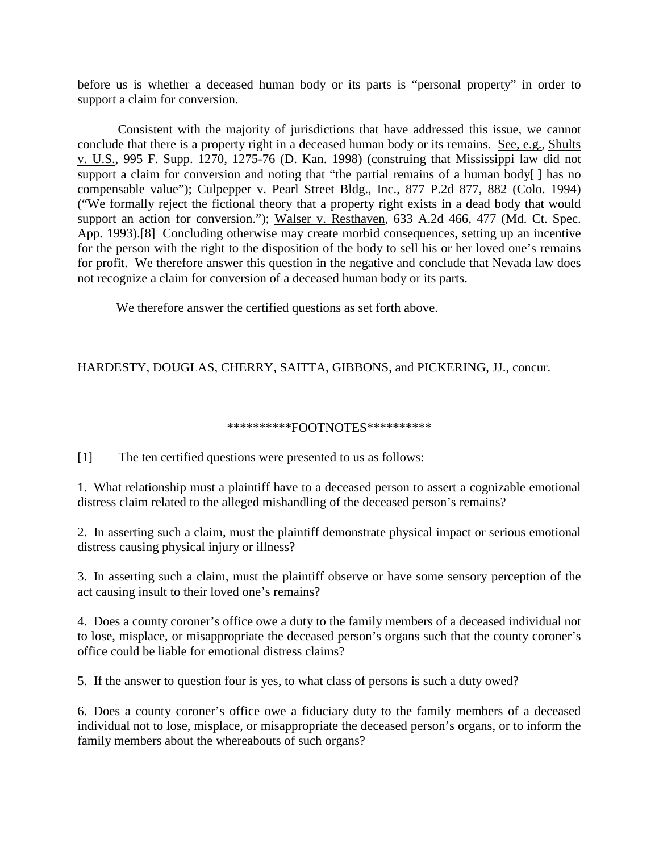before us is whether a deceased human body or its parts is "personal property" in order to support a claim for conversion.

 Consistent with the majority of jurisdictions that have addressed this issue, we cannot conclude that there is a property right in a deceased human body or its remains. See, e.g., Shults v. U.S., 995 F. Supp. 1270, 1275-76 (D. Kan. 1998) (construing that Mississippi law did not support a claim for conversion and noting that "the partial remains of a human body[] has no compensable value"); Culpepper v. Pearl Street Bldg., Inc., 877 P.2d 877, 882 (Colo. 1994) ("We formally reject the fictional theory that a property right exists in a dead body that would support an action for conversion."); Walser v. Resthaven, 633 A.2d 466, 477 (Md. Ct. Spec. App. 1993).[8] Concluding otherwise may create morbid consequences, setting up an incentive for the person with the right to the disposition of the body to sell his or her loved one's remains for profit. We therefore answer this question in the negative and conclude that Nevada law does not recognize a claim for conversion of a deceased human body or its parts.

We therefore answer the certified questions as set forth above.

# HARDESTY, DOUGLAS, CHERRY, SAITTA, GIBBONS, and PICKERING, JJ., concur.

#### \*\*\*\*\*\*\*\*\*\*FOOTNOTES\*\*\*\*\*\*\*\*\*\*

[1] The ten certified questions were presented to us as follows:

1. What relationship must a plaintiff have to a deceased person to assert a cognizable emotional distress claim related to the alleged mishandling of the deceased person's remains?

2. In asserting such a claim, must the plaintiff demonstrate physical impact or serious emotional distress causing physical injury or illness?

3. In asserting such a claim, must the plaintiff observe or have some sensory perception of the act causing insult to their loved one's remains?

4. Does a county coroner's office owe a duty to the family members of a deceased individual not to lose, misplace, or misappropriate the deceased person's organs such that the county coroner's office could be liable for emotional distress claims?

5. If the answer to question four is yes, to what class of persons is such a duty owed?

6. Does a county coroner's office owe a fiduciary duty to the family members of a deceased individual not to lose, misplace, or misappropriate the deceased person's organs, or to inform the family members about the whereabouts of such organs?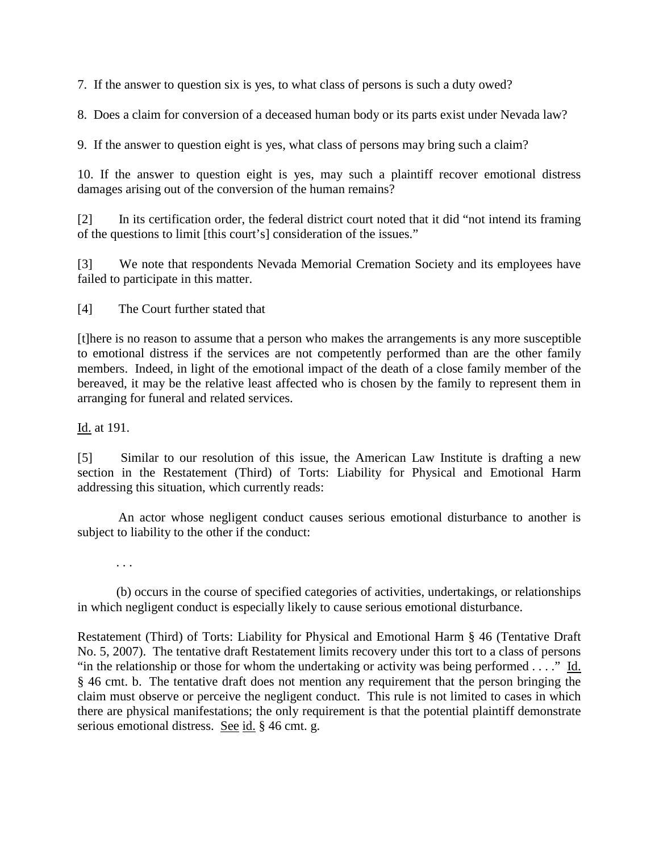7. If the answer to question six is yes, to what class of persons is such a duty owed?

8. Does a claim for conversion of a deceased human body or its parts exist under Nevada law?

9. If the answer to question eight is yes, what class of persons may bring such a claim?

10. If the answer to question eight is yes, may such a plaintiff recover emotional distress damages arising out of the conversion of the human remains?

[2] In its certification order, the federal district court noted that it did "not intend its framing of the questions to limit [this court's] consideration of the issues."

[3] We note that respondents Nevada Memorial Cremation Society and its employees have failed to participate in this matter.

[4] The Court further stated that

[t]here is no reason to assume that a person who makes the arrangements is any more susceptible to emotional distress if the services are not competently performed than are the other family members. Indeed, in light of the emotional impact of the death of a close family member of the bereaved, it may be the relative least affected who is chosen by the family to represent them in arranging for funeral and related services.

Id. at 191.

[5] Similar to our resolution of this issue, the American Law Institute is drafting a new section in the Restatement (Third) of Torts: Liability for Physical and Emotional Harm addressing this situation, which currently reads:

 An actor whose negligent conduct causes serious emotional disturbance to another is subject to liability to the other if the conduct:

. . .

 (b) occurs in the course of specified categories of activities, undertakings, or relationships in which negligent conduct is especially likely to cause serious emotional disturbance.

Restatement (Third) of Torts: Liability for Physical and Emotional Harm § 46 (Tentative Draft No. 5, 2007). The tentative draft Restatement limits recovery under this tort to a class of persons "in the relationship or those for whom the undertaking or activity was being performed . . . ." Id. § 46 cmt. b. The tentative draft does not mention any requirement that the person bringing the claim must observe or perceive the negligent conduct. This rule is not limited to cases in which there are physical manifestations; the only requirement is that the potential plaintiff demonstrate serious emotional distress. See id. § 46 cmt. g.